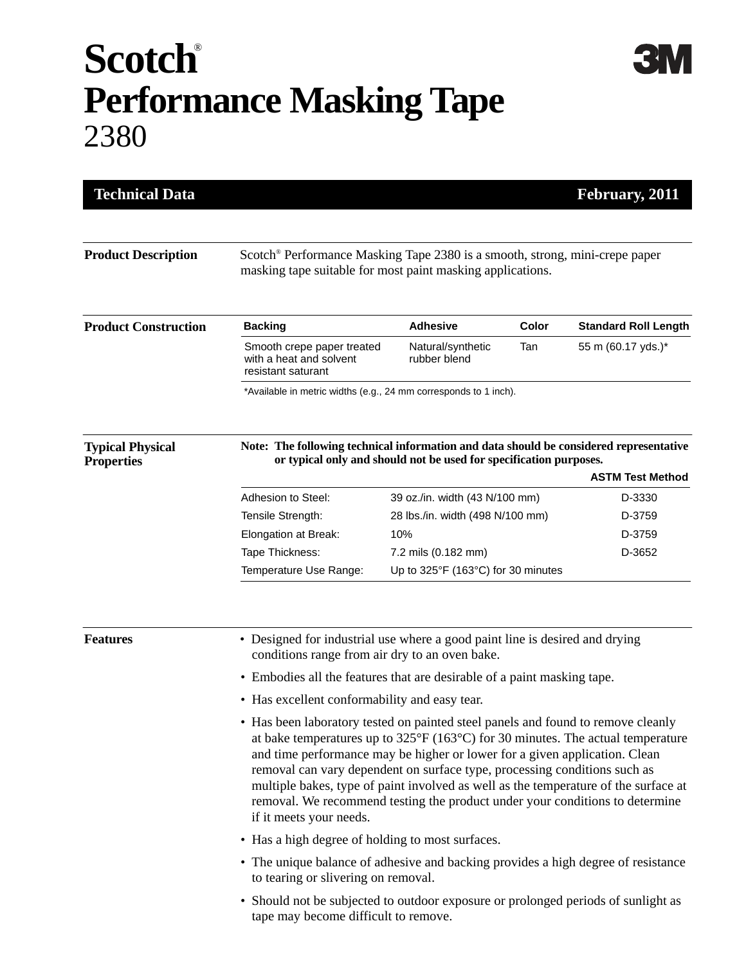## **Scotch**® **Performance Masking Tape** 2380

**3M** 

| <b>Technical Data</b>                        |                                                                                                                                                                                                                                                                                                                                                                                                                                                                                                                                                 |                                    |       | February, 2011              |  |
|----------------------------------------------|-------------------------------------------------------------------------------------------------------------------------------------------------------------------------------------------------------------------------------------------------------------------------------------------------------------------------------------------------------------------------------------------------------------------------------------------------------------------------------------------------------------------------------------------------|------------------------------------|-------|-----------------------------|--|
| <b>Product Description</b>                   | Scotch <sup>®</sup> Performance Masking Tape 2380 is a smooth, strong, mini-crepe paper<br>masking tape suitable for most paint masking applications.                                                                                                                                                                                                                                                                                                                                                                                           |                                    |       |                             |  |
| <b>Product Construction</b>                  | <b>Backing</b>                                                                                                                                                                                                                                                                                                                                                                                                                                                                                                                                  | <b>Adhesive</b>                    | Color | <b>Standard Roll Length</b> |  |
|                                              | Smooth crepe paper treated<br>with a heat and solvent<br>resistant saturant                                                                                                                                                                                                                                                                                                                                                                                                                                                                     | Natural/synthetic<br>rubber blend  | Tan   | 55 m (60.17 yds.)*          |  |
|                                              | *Available in metric widths (e.g., 24 mm corresponds to 1 inch).                                                                                                                                                                                                                                                                                                                                                                                                                                                                                |                                    |       |                             |  |
| <b>Typical Physical</b><br><b>Properties</b> | Note: The following technical information and data should be considered representative<br>or typical only and should not be used for specification purposes.                                                                                                                                                                                                                                                                                                                                                                                    |                                    |       |                             |  |
|                                              |                                                                                                                                                                                                                                                                                                                                                                                                                                                                                                                                                 |                                    |       | <b>ASTM Test Method</b>     |  |
|                                              | Adhesion to Steel:                                                                                                                                                                                                                                                                                                                                                                                                                                                                                                                              | 39 oz./in. width (43 N/100 mm)     |       | D-3330                      |  |
|                                              | Tensile Strength:                                                                                                                                                                                                                                                                                                                                                                                                                                                                                                                               | 28 lbs./in. width (498 N/100 mm)   |       | D-3759                      |  |
|                                              | Elongation at Break:                                                                                                                                                                                                                                                                                                                                                                                                                                                                                                                            | 10%                                |       | D-3759                      |  |
|                                              | Tape Thickness:                                                                                                                                                                                                                                                                                                                                                                                                                                                                                                                                 | 7.2 mils (0.182 mm)                |       | D-3652                      |  |
|                                              | Temperature Use Range:                                                                                                                                                                                                                                                                                                                                                                                                                                                                                                                          | Up to 325°F (163°C) for 30 minutes |       |                             |  |
| <b>Features</b>                              | • Designed for industrial use where a good paint line is desired and drying<br>conditions range from air dry to an oven bake.                                                                                                                                                                                                                                                                                                                                                                                                                   |                                    |       |                             |  |
|                                              | • Embodies all the features that are desirable of a paint masking tape.                                                                                                                                                                                                                                                                                                                                                                                                                                                                         |                                    |       |                             |  |
|                                              | • Has excellent conformability and easy tear.                                                                                                                                                                                                                                                                                                                                                                                                                                                                                                   |                                    |       |                             |  |
|                                              | • Has been laboratory tested on painted steel panels and found to remove cleanly<br>at bake temperatures up to $325^{\circ}F(163^{\circ}C)$ for 30 minutes. The actual temperature<br>and time performance may be higher or lower for a given application. Clean<br>removal can vary dependent on surface type, processing conditions such as<br>multiple bakes, type of paint involved as well as the temperature of the surface at<br>removal. We recommend testing the product under your conditions to determine<br>if it meets your needs. |                                    |       |                             |  |
|                                              | • Has a high degree of holding to most surfaces.                                                                                                                                                                                                                                                                                                                                                                                                                                                                                                |                                    |       |                             |  |
|                                              | • The unique balance of adhesive and backing provides a high degree of resistance<br>to tearing or slivering on removal.                                                                                                                                                                                                                                                                                                                                                                                                                        |                                    |       |                             |  |
|                                              | • Should not be subjected to outdoor exposure or prolonged periods of sunlight as<br>tape may become difficult to remove.                                                                                                                                                                                                                                                                                                                                                                                                                       |                                    |       |                             |  |